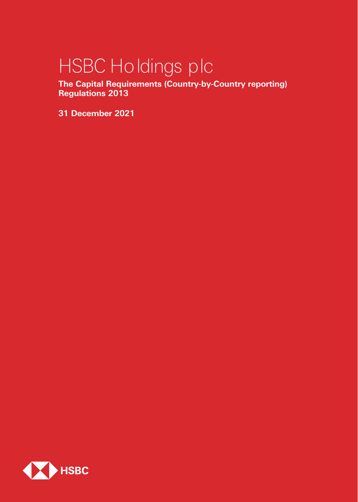# HSBC Holdings plc

**The Capital Requirements (Country-by-Country reporting) Regulations 2013**

**31 December 2021**

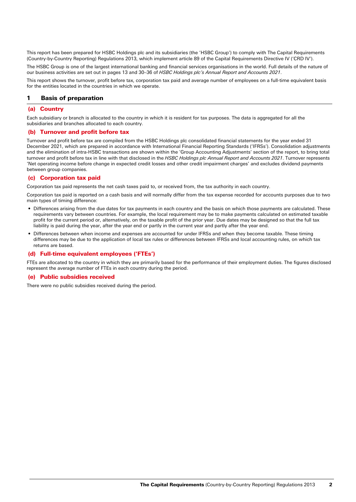This report has been prepared for HSBC Holdings plc and its subsidiaries (the 'HSBC Group') to comply with The Capital Requirements (Country-by-Country Reporting) Regulations 2013, which implement article 89 of the Capital Requirements Directive IV ('CRD IV').

The HSBC Group is one of the largest international banking and financial services organisations in the world. Full details of the nature of our business activities are set out in pages 13 and 30–36 of *HSBC Holdings plc's Annual Report and Accounts 2021*.

This report shows the turnover, profit before tax, corporation tax paid and average number of employees on a full-time equivalent basis for the entities located in the countries in which we operate.

#### 1 Basis of preparation

#### (a) Country

Each subsidiary or branch is allocated to the country in which it is resident for tax purposes. The data is aggregated for all the subsidiaries and branches allocated to each country.

#### (b) Turnover and profit before tax

Turnover and profit before tax are compiled from the HSBC Holdings plc consolidated financial statements for the year ended 31 December 2021, which are prepared in accordance with International Financial Reporting Standards ('IFRSs'). Consolidation adjustments and the elimination of intra-HSBC transactions are shown within the 'Group Accounting Adjustments' section of the report, to bring total turnover and profit before tax in line with that disclosed in the *HSBC Holdings plc Annual Report and Accounts 2021*. Turnover represents 'Net operating income before change in expected credit losses and other credit impairment charges' and excludes dividend payments between group companies.

#### (c) Corporation tax paid

Corporation tax paid represents the net cash taxes paid to, or received from, the tax authority in each country.

Corporation tax paid is reported on a cash basis and will normally differ from the tax expense recorded for accounts purposes due to two main types of timing difference:

- Differences arising from the due dates for tax payments in each country and the basis on which those payments are calculated. These requirements vary between countries. For example, the local requirement may be to make payments calculated on estimated taxable profit for the current period or, alternatively, on the taxable profit of the prior year. Due dates may be designed so that the full tax liability is paid during the year, after the year end or partly in the current year and partly after the year end.
- Differences between when income and expenses are accounted for under IFRSs and when they become taxable. These timing differences may be due to the application of local tax rules or differences between IFRSs and local accounting rules, on which tax returns are based.

#### Full-time equivalent employees ('FTEs')

FTEs are allocated to the country in which they are primarily based for the performance of their employment duties. The figures disclosed represent the average number of FTEs in each country during the period.

#### (e) Public subsidies received

There were no public subsidies received during the period.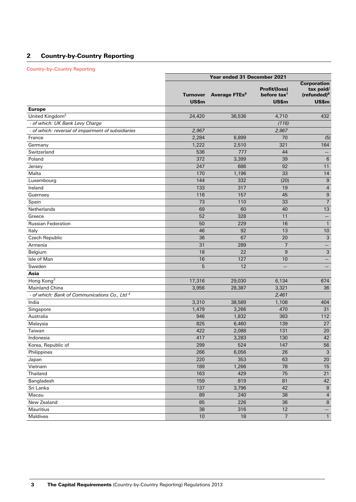# 2 Country-by-Country Reporting

#### Country–by–Country Reporting

|                                                          |                          | Year ended 31 December 2021 |                                                 |                                                                            |  |
|----------------------------------------------------------|--------------------------|-----------------------------|-------------------------------------------------|----------------------------------------------------------------------------|--|
|                                                          | <b>Turnover</b><br>US\$m | Average FTEs <sup>9</sup>   | Profit/(loss)<br>before $\text{tax}^1$<br>US\$m | <b>Corporation</b><br>tax paid/<br>(refunded) <sup>8</sup><br><b>US\$m</b> |  |
| <b>Europe</b>                                            |                          |                             |                                                 |                                                                            |  |
| United Kingdom <sup>2</sup>                              | 24,420                   | 36,536                      | 4,710                                           | 432                                                                        |  |
| - of which: UK Bank Levy Charge                          |                          |                             | (116)                                           |                                                                            |  |
| - of which: reversal of impairment of subsidiaries       | 2,967                    |                             | 2,967                                           |                                                                            |  |
| France                                                   | 2,284                    | 6,899                       | 70                                              | (5)                                                                        |  |
| Germany                                                  | 1,222                    | 2,510                       | 321                                             | 164                                                                        |  |
| Switzerland                                              | 536                      | 777                         | 44                                              |                                                                            |  |
| Poland                                                   | 372                      | 3,399                       | 39                                              | $\,6\,$                                                                    |  |
| Jersey                                                   | 247                      | 686                         | 92                                              | 11                                                                         |  |
| Malta                                                    | 170                      | 1,196                       | 33                                              | 14                                                                         |  |
| Luxembourg                                               | 144                      | 332                         | (20)                                            | $\boldsymbol{9}$                                                           |  |
| Ireland                                                  | 133                      | 317                         | 19                                              | $\sqrt{4}$                                                                 |  |
| Guernsey                                                 | 116                      | 157                         | 45                                              | $\boldsymbol{9}$                                                           |  |
| Spain                                                    | 73                       | 110                         | 33                                              | $\overline{7}$                                                             |  |
| Netherlands                                              | 69                       | 60                          | 40                                              | 13                                                                         |  |
| Greece                                                   | 52                       | 328                         | 11                                              | $\qquad \qquad -$                                                          |  |
| <b>Russian Federation</b>                                | 50                       | 229                         | 16                                              | $\mathbf{1}$                                                               |  |
| Italy                                                    | 46                       | 92                          | 13                                              | 10                                                                         |  |
| Czech Republic                                           | 36                       | 67                          | 20                                              | $\mathbf{3}$                                                               |  |
| Armenia                                                  | 31                       | 289                         | $\overline{7}$                                  | $\qquad \qquad -$                                                          |  |
| Belgium                                                  | 18                       | 22                          | 9                                               | $\sqrt{3}$                                                                 |  |
| Isle of Man                                              | 16                       | 127                         | 10                                              |                                                                            |  |
| Sweden                                                   | 5                        | 12                          |                                                 |                                                                            |  |
| Asia                                                     |                          |                             |                                                 |                                                                            |  |
| Hong Kong <sup>3</sup>                                   | 17,316                   | 29,030                      | 6,134                                           | 674                                                                        |  |
| Mainland China                                           | 3,956                    | 28,387                      | 3,321                                           | 36                                                                         |  |
| - of which: Bank of Communications Co., Ltd <sup>4</sup> |                          |                             | 2,461                                           |                                                                            |  |
| India                                                    | 3,310                    | 38,589                      | 1,108                                           | 404                                                                        |  |
| Singapore                                                | 1,479                    | 3,266                       | 470                                             | 31                                                                         |  |
| Australia                                                | 946                      | 1,832                       | 383                                             | 112                                                                        |  |
| Malaysia                                                 | 825                      | 6,460                       | 139                                             | 27                                                                         |  |
| Taiwan                                                   | 422                      | 2,088                       | 131                                             | 20                                                                         |  |
| Indonesia                                                | 417                      | 3,283                       | 130                                             | 42                                                                         |  |
| Korea, Republic of                                       | 299                      | 524                         | 147                                             | 56                                                                         |  |
| Philippines                                              | 266                      | 6,056                       | 26                                              | $\sqrt{3}$                                                                 |  |
| Japan                                                    | 220                      | 353                         | 63                                              | $20\,$                                                                     |  |
| Vietnam                                                  | 189                      | 1,266                       | 78                                              | 15                                                                         |  |
| Thailand                                                 | 163                      | 429                         | 75                                              | 21                                                                         |  |
| Bangladesh                                               | 159                      | 819                         | 81                                              | 42                                                                         |  |
| Sri Lanka                                                | 137                      | 3,796                       | 42                                              | $\, 8$                                                                     |  |
| Macau                                                    | 89                       | 240                         | 38                                              | $\overline{4}$                                                             |  |
| New Zealand                                              | 85                       | 226                         | 36                                              | $\,8\,$                                                                    |  |
| <b>Mauritius</b>                                         | 38                       | 316                         | 12                                              |                                                                            |  |
| Maldives                                                 | $10$                     | $18\,$                      | $\overline{7}$                                  | $\mathbf{1}$                                                               |  |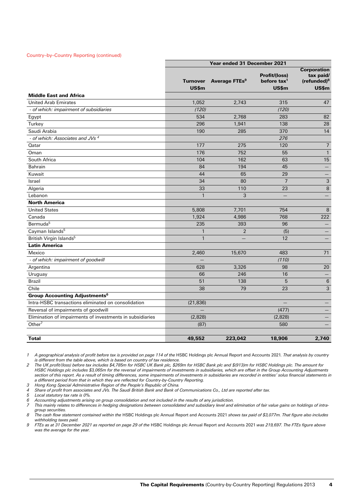#### Country–by–Country Reporting (continued)

|                                                           | Year ended 31 December 2021 |                           |                                               |                                                            |
|-----------------------------------------------------------|-----------------------------|---------------------------|-----------------------------------------------|------------------------------------------------------------|
|                                                           | <b>Turnover</b>             | Average FTEs <sup>9</sup> | <b>Profit/(loss)</b><br>before $\text{tax}^1$ | <b>Corporation</b><br>tax paid/<br>(refunded) <sup>8</sup> |
|                                                           | US\$m                       |                           | US\$m                                         | US\$m                                                      |
| <b>Middle East and Africa</b>                             |                             |                           |                                               |                                                            |
| <b>United Arab Emirates</b>                               | 1,052                       | 2.743                     | 315                                           | 47                                                         |
| - of which: impairment of subsidiaries                    | (120)                       |                           | (120)                                         |                                                            |
| Egypt                                                     | 534                         | 2,768                     | 283                                           | 82                                                         |
| Turkey                                                    | 296                         | 1,941                     | 138                                           | 28                                                         |
| Saudi Arabia                                              | 190                         | 285                       | 370                                           | 14                                                         |
| - of which: Associates and JVs <sup>4</sup>               |                             |                           | 276                                           |                                                            |
| Qatar                                                     | 177                         | 275                       | 120                                           | $\overline{7}$                                             |
| Oman                                                      | 176                         | 752                       | 55                                            | $\mathbf{1}$                                               |
| South Africa                                              | 104                         | 162                       | 63                                            | 15                                                         |
| <b>Bahrain</b>                                            | 84                          | 194                       | 45                                            |                                                            |
| Kuwait                                                    | 44                          | 65                        | 29                                            |                                                            |
| Israel                                                    | 34                          | 80                        | $\overline{7}$                                | 3                                                          |
| Algeria                                                   | 33                          | 110                       | 23                                            | 8                                                          |
| Lebanon                                                   | $\mathbf{1}$                | 3                         |                                               |                                                            |
| <b>North America</b>                                      |                             |                           |                                               |                                                            |
| <b>United States</b>                                      | 5,808                       | 7,701                     | 754                                           | 8                                                          |
| Canada                                                    | 1,924                       | 4,986                     | 768                                           | 222                                                        |
| Bermuda <sup>5</sup>                                      | 235                         | 393                       | 96                                            |                                                            |
| Cayman Islands <sup>5</sup>                               | $\mathbf{1}$                | $\overline{2}$            | (5)                                           |                                                            |
| British Virgin Islands <sup>5</sup>                       | $\mathbf{1}$                |                           | 12                                            |                                                            |
| <b>Latin America</b>                                      |                             |                           |                                               |                                                            |
| Mexico                                                    | 2,460                       | 15,670                    | 483                                           | 71                                                         |
| - of which: impairment of goodwill                        |                             |                           | (110)                                         |                                                            |
| Argentina                                                 | 628                         | 3,326                     | 98                                            | 20                                                         |
| Uruguay                                                   | 66                          | 246                       | 16                                            |                                                            |
| Brazil                                                    | 51                          | 138                       | 5                                             | 6                                                          |
| Chile                                                     | 38                          | 79                        | 23                                            | 3                                                          |
| <b>Group Accounting Adjustments<sup>6</sup></b>           |                             |                           |                                               |                                                            |
| Intra-HSBC transactions eliminated on consolidation       | (21, 836)                   |                           |                                               |                                                            |
| Reversal of impairments of goodwill                       |                             |                           | (477)                                         |                                                            |
| Elimination of impairments of investments in subsidiaries | (2,828)                     |                           | (2,828)                                       |                                                            |
| Other $7$                                                 | (87)                        |                           | 580                                           |                                                            |
| <b>Total</b>                                              | 49,552                      | 223,042                   | 18,906                                        | 2.740                                                      |

1 A geographical analysis of profit before tax is provided on page 114 of the HSBC Holdings plc Annual Report and Accounts 2021. That analysis by country *is different from the table above, which is based on country of tax residence.*

*2 The UK profit/(loss) before tax includes \$4,785m for HSBC UK Bank plc, \$269m for HSBC Bank plc and \$(913)m for HSBC Holdings plc. The amount for HSBC Holdings plc includes \$3,065m for the reversal of impairments of investments in subsidiaries, which are offset in the Group Accounting Adjustments*  section of this report. As a result of timing differences, some impairments of investments in subsidiaries are recorded in entities' solus financial statements in *a different period from that in which they are reflected for Country-by-Country Reporting.* 

*3 Hong Kong Special Administrative Region of the People's Republic of China.*

*4 Share of profit from associates and JVs. The Saudi British Bank and Bank of Communications Co., Ltd are reported after tax.*

*5 Local statutory tax rate is 0%. 6 Accounting adjustments arising on group consolidation and not included in the results of any jurisdiction.*

*7 This mainly relates to differences in hedging designations between consolidated and subsidiary level and elimination of fair value gains on holdings of intragroup securities.*

*8 The cash flow statement contained within the* HSBC Holdings plc Annual Report and Accounts 2021 *shows tax paid of \$3,077m. That figure also includes withholding taxes paid.*

*9 FTEs as at 31 December 2021 as reported on page 29 of the* HSBC Holdings plc Annual Report and Accounts 2021 *was 219,697. The FTEs figure above was the average for the year.*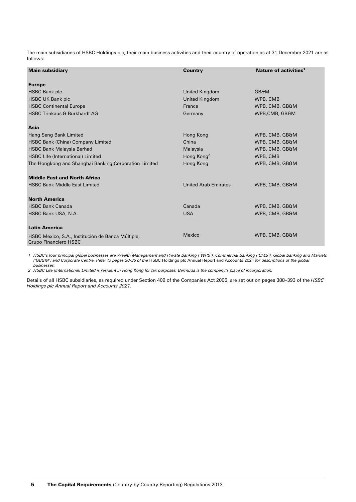The main subsidiaries of HSBC Holdings plc, their main business activities and their country of operation as at 31 December 2021 are as follows:

| <b>Main subsidiary</b>                                                     | <b>Country</b>              | Nature of activities <sup>1</sup> |
|----------------------------------------------------------------------------|-----------------------------|-----------------------------------|
| <b>Europe</b>                                                              |                             |                                   |
| <b>HSBC Bank plc</b>                                                       | United Kingdom              | <b>GB&amp;M</b>                   |
| <b>HSBC UK Bank plc</b>                                                    | United Kingdom              | WPB, CMB                          |
| <b>HSBC Continental Europe</b>                                             | France                      | WPB, CMB, GB&M                    |
| <b>HSBC Trinkaus &amp; Burkhardt AG</b>                                    | Germany                     | WPB, CMB, GB&M                    |
| Asia                                                                       |                             |                                   |
| Hang Seng Bank Limited                                                     | Hong Kong                   | WPB, CMB, GB&M                    |
| HSBC Bank (China) Company Limited                                          | China                       | WPB, CMB, GB&M                    |
| <b>HSBC Bank Malaysia Berhad</b>                                           | Malaysia                    | WPB, CMB, GB&M                    |
| <b>HSBC Life (International) Limited</b>                                   | Hong Kong <sup>2</sup>      | WPB, CMB                          |
| The Hongkong and Shanghai Banking Corporation Limited                      | Hong Kong                   | WPB, CMB, GB&M                    |
| <b>Middle East and North Africa</b>                                        |                             |                                   |
| <b>HSBC Bank Middle East Limited</b>                                       | <b>United Arab Emirates</b> | WPB, CMB, GB&M                    |
| <b>North America</b>                                                       |                             |                                   |
| <b>HSBC Bank Canada</b>                                                    | Canada                      | WPB, CMB, GB&M                    |
| HSBC Bank USA, N.A.                                                        | <b>USA</b>                  | WPB, CMB, GB&M                    |
| <b>Latin America</b>                                                       |                             |                                   |
| HSBC Mexico, S.A., Institución de Banca Múltiple,<br>Grupo Financiero HSBC | Mexico                      | WPB, CMB, GB&M                    |

*1 HSBC's four principal global businesses are Wealth Management and Private Banking ('WPB'), Commercial Banking ('CMB'), Global Banking and Markets ('GB&M') and Corporate Centre. Refer to pages 30-36 of the* HSBC Holdings plc Annual Report and Accounts 2021 *for descriptions of the global businesses.*

*2 HSBC Life (International) Limited is resident in Hong Kong for tax purposes. Bermuda is the company's place of incorporation.*

Details of all HSBC subsidiaries, as required under Section 409 of the Companies Act 2006, are set out on pages 388–393 of the *HSBC Holdings plc Annual Report and Accounts 2021*.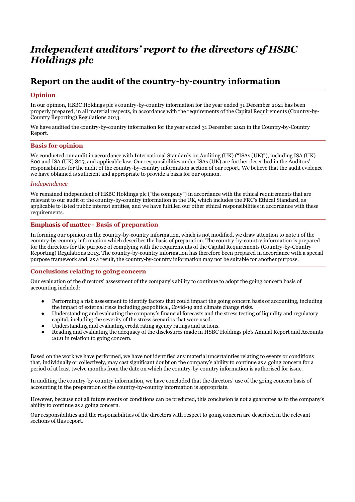# *Independent auditors' report to the directors of HSBC Holdings plc*

# **Report on the audit of the country-by-country information**

# **Opinion**

In our opinion, HSBC Holdings plc's country-by-country information for the year ended 31 December 2021 has been properly prepared, in all material respects, in accordance with the requirements of the Capital Requirements (Country-by-Country Reporting) Regulations 2013.

We have audited the country-by-country information for the year ended 31 December 2021 in the Country-by-Country Report.

# **Basis for opinion**

We conducted our audit in accordance with International Standards on Auditing (UK) ("ISAs (UK)"), including ISA (UK) 800 and ISA (UK) 805, and applicable law. Our responsibilities under ISAs (UK) are further described in the Auditors' responsibilities for the audit of the country-by-country information section of our report. We believe that the audit evidence we have obtained is sufficient and appropriate to provide a basis for our opinion.

#### *Independence*

We remained independent of HSBC Holdings plc ("the company") in accordance with the ethical requirements that are relevant to our audit of the country-by-country information in the UK, which includes the FRC's Ethical Standard, as applicable to listed public interest entities, and we have fulfilled our other ethical responsibilities in accordance with these requirements.

#### **Emphasis of matter - Basis of preparation**

In forming our opinion on the country-by-country information, which is not modified, we draw attention to note 1 of the country-by-country information which describes the basis of preparation. The country-by-country information is prepared for the directors for the purpose of complying with the requirements of the Capital Requirements (Country-by-Country Reporting) Regulations 2013. The country-by-country information has therefore been prepared in accordance with a special purpose framework and, as a result, the country-by-country information may not be suitable for another purpose.

# **Conclusions relating to going concern**

Our evaluation of the directors' assessment of the company's ability to continue to adopt the going concern basis of accounting included:

- Performing a risk assessment to identify factors that could impact the going concern basis of accounting, including the impact of external risks including geopolitical, Covid-19 and climate change risks.
- Understanding and evaluating the company's financial forecasts and the stress testing of liquidity and regulatory capital, including the severity of the stress scenarios that were used.
- Understanding and evaluating credit rating agency ratings and actions.
- Reading and evaluating the adequacy of the disclosures made in HSBC Holdings plc's Annual Report and Accounts 2021 in relation to going concern.

Based on the work we have performed, we have not identified any material uncertainties relating to events or conditions that, individually or collectively, may cast significant doubt on the company's ability to continue as a going concern for a period of at least twelve months from the date on which the country-by-country information is authorised for issue.

In auditing the country-by-country information, we have concluded that the directors' use of the going concern basis of accounting in the preparation of the country-by-country information is appropriate.

However, because not all future events or conditions can be predicted, this conclusion is not a guarantee as to the company's ability to continue as a going concern.

Our responsibilities and the responsibilities of the directors with respect to going concern are described in the relevant sections of this report.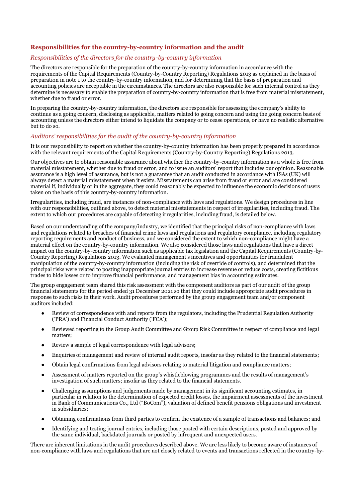# **Responsibilities for the country-by-country information and the audit**

#### *Responsibilities of the directors for the country-by-country information*

The directors are responsible for the preparation of the country-by-country information in accordance with the requirements of the Capital Requirements (Country-by-Country Reporting) Regulations 2013 as explained in the basis of preparation in note 1 to the country-by-country information, and for determining that the basis of preparation and accounting policies are acceptable in the circumstances. The directors are also responsible for such internal control as they determine is necessary to enable the preparation of country-by-country information that is free from material misstatement, whether due to fraud or error.

In preparing the country-by-country information, the directors are responsible for assessing the company's ability to continue as a going concern, disclosing as applicable, matters related to going concern and using the going concern basis of accounting unless the directors either intend to liquidate the company or to cease operations, or have no realistic alternative but to do so.

#### *Auditors' responsibilities for the audit of the country-by-country information*

It is our responsibility to report on whether the country-by-country information has been properly prepared in accordance with the relevant requirements of the Capital Requirements (Country-by-Country Reporting) Regulations 2013.

Our objectives are to obtain reasonable assurance about whether the country-by-country information as a whole is free from material misstatement, whether due to fraud or error, and to issue an auditors' report that includes our opinion. Reasonable assurance is a high level of assurance, but is not a guarantee that an audit conducted in accordance with ISAs (UK) will always detect a material misstatement when it exists. Misstatements can arise from fraud or error and are considered material if, individually or in the aggregate, they could reasonably be expected to influence the economic decisions of users taken on the basis of this country-by-country information.

Irregularities, including fraud, are instances of non-compliance with laws and regulations. We design procedures in line with our responsibilities, outlined above, to detect material misstatements in respect of irregularities, including fraud. The extent to which our procedures are capable of detecting irregularities, including fraud, is detailed below.

Based on our understanding of the company/industry, we identified that the principal risks of non-compliance with laws and regulations related to breaches of financial crime laws and regulations and regulatory compliance, including regulatory reporting requirements and conduct of business, and we considered the extent to which non-compliance might have a material effect on the country-by-country information. We also considered those laws and regulations that have a direct impact on the country-by-country information such as applicable tax legislation and the Capital Requirements (Country-by-Country Reporting) Regulations 2013. We evaluated management's incentives and opportunities for fraudulent manipulation of the country-by-country information (including the risk of override of controls), and determined that the principal risks were related to posting inappropriate journal entries to increase revenue or reduce costs, creating fictitious trades to hide losses or to improve financial performance, and management bias in accounting estimates.

The group engagement team shared this risk assessment with the component auditors as part of our audit of the group financial statements for the period ended 31 December 2021 so that they could include appropriate audit procedures in response to such risks in their work. Audit procedures performed by the group engagement team and/or component auditors included:

- Review of correspondence with and reports from the regulators, including the Prudential Regulation Authority ('PRA') and Financial Conduct Authority ('FCA');
- Reviewed reporting to the Group Audit Committee and Group Risk Committee in respect of compliance and legal matters;
- Review a sample of legal correspondence with legal advisors;
- Enquiries of management and review of internal audit reports, insofar as they related to the financial statements;
- Obtain legal confirmations from legal advisors relating to material litigation and compliance matters;
- Assessment of matters reported on the group's whistleblowing programmes and the results of management's investigation of such matters; insofar as they related to the financial statements.
- Challenging assumptions and judgements made by management in its significant accounting estimates, in particular in relation to the determination of expected credit losses, the impairment assessments of the investment in Bank of Communications Co., Ltd ("BoCom"), valuation of defined benefit pensions obligations and investment in subsidiaries;
- Obtaining confirmations from third parties to confirm the existence of a sample of transactions and balances; and
- Identifying and testing journal entries, including those posted with certain descriptions, posted and approved by the same individual, backdated journals or posted by infrequent and unexpected users.

There are inherent limitations in the audit procedures described above. We are less likely to become aware of instances of non-compliance with laws and regulations that are not closely related to events and transactions reflected in the country-by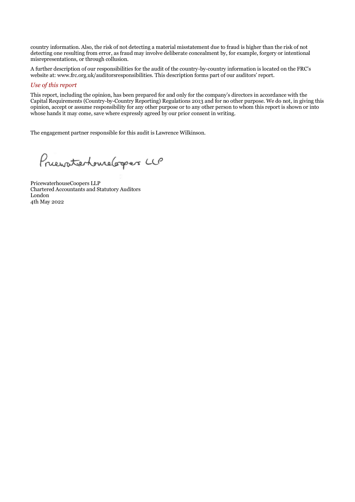country information. Also, the risk of not detecting a material misstatement due to fraud is higher than the risk of not detecting one resulting from error, as fraud may involve deliberate concealment by, for example, forgery or intentional misrepresentations, or through collusion.

A further description of our responsibilities for the audit of the country-by-country information is located on the FRC's website at: www.frc.org.uk/auditorsresponsibilities. This description forms part of our auditors' report.

#### *Use of this report*

This report, including the opinion, has been prepared for and only for the company's directors in accordance with the Capital Requirements (Country-by-Country Reporting) Regulations 2013 and for no other purpose. We do not, in giving this opinion, accept or assume responsibility for any other purpose or to any other person to whom this report is shown or into whose hands it may come, save where expressly agreed by our prior consent in writing.

The engagement partner responsible for this audit is Lawrence Wilkinson.

Prievaterhomelogers LCP

PricewaterhouseCoopers LLP Chartered Accountants and Statutory Auditors London 4th May 2022